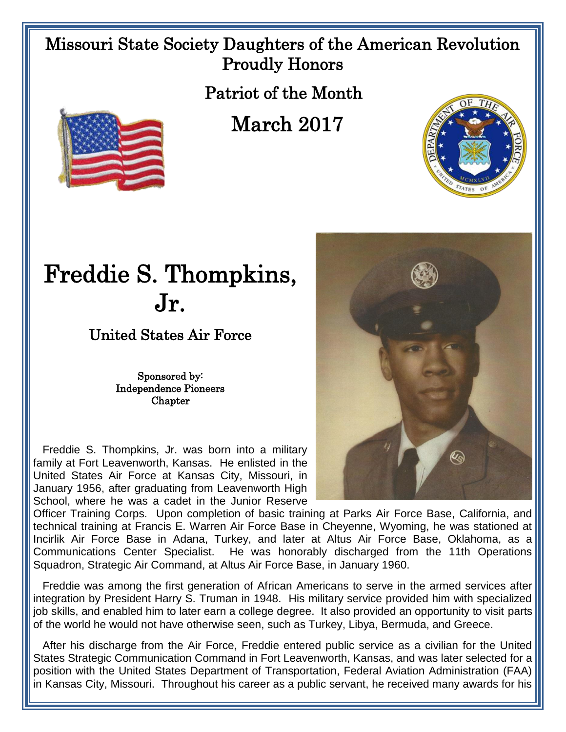## Missouri State Society Daughters of the American Revolution Proudly Honors

Patriot of the Month

March 2017



## Freddie S. Thompkins, Jr.

United States Air Force

Sponsored by: Independence Pioneers Chapter

 Freddie S. Thompkins, Jr. was born into a military family at Fort Leavenworth, Kansas. He enlisted in the United States Air Force at Kansas City, Missouri, in January 1956, after graduating from Leavenworth High School, where he was a cadet in the Junior Reserve



Officer Training Corps. Upon completion of basic training at Parks Air Force Base, California, and technical training at Francis E. Warren Air Force Base in Cheyenne, Wyoming, he was stationed at Incirlik Air Force Base in Adana, Turkey, and later at Altus Air Force Base, Oklahoma, as a Communications Center Specialist. He was honorably discharged from the 11th Operations Squadron, Strategic Air Command, at Altus Air Force Base, in January 1960.

 Freddie was among the first generation of African Americans to serve in the armed services after integration by President Harry S. Truman in 1948. His military service provided him with specialized job skills, and enabled him to later earn a college degree. It also provided an opportunity to visit parts of the world he would not have otherwise seen, such as Turkey, Libya, Bermuda, and Greece.

After his discharge from the Air Force, Freddie entered public service as a civilian for the United States Strategic Communication Command in Fort Leavenworth, Kansas, and was later selected for a position with the United States Department of Transportation, Federal Aviation Administration (FAA) in Kansas City, Missouri. Throughout his career as a public servant, he received many awards for his